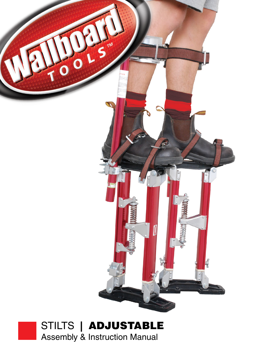

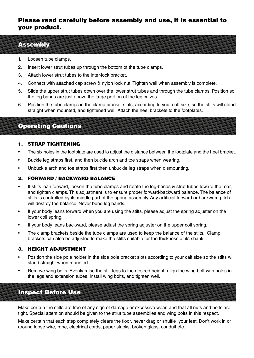## Please read carefully before assembly and use, it is essential to your product.

#### Assembly

- 1. Loosen tube clamps.
- 2. Insert lower strut tubes up through the bottom of the tube clamps.
- 3. Attach lower strut tubes to the inter-lock bracket.
- 4. Connect with attached cap screw & nylon lock nut. Tighten well when assembly is complete.
- 5. Slide the upper strut tubes down over the lower strut tubes and through the tube clamps. Position so the leg bands are just above the large portion of the leg calves.
- 6. Position the tube clamps in the clamp bracket slots, according to your calf size, so the stilts will stand straight when mounted, and tightened well. Attach the heel brackets to the footplates.

# Operating Cautions

#### 1. Strap Tightening

- The six holes in the footplate are used to adjust the distance between the footplate and the heel bracket.
- Buckle leg straps first, and then buckle arch and toe straps when wearing.
- Unbuckle arch and toe straps first then unbuckle leg straps when dismounting.

#### 2. Forward / Backward Balance

- If stilts lean forward, loosen the tube clamps and rotate the leg-bands & strut tubes toward the rear, and tighten clamps. This adjustment is to ensure proper forward/backward balance. The balance of stilts is controlled by its middle part of the spring assembly. Any artificial forward or backward pitch will destroy the balance. Never bend leg bands.
- If your body leans forward when you are using the stilts, please adjust the spring adjuster on the lower coil spring.
- If your body leans backward, please adjust the spring adjuster on the upper coil spring.
- The clamp brackets beside the tube clamps are used to keep the balance of the stilts. Clamp brackets can also be adjusted to make the stilts suitable for the thickness of its shank.

#### 3. Height Adjustment

- Position the side pole holder in the side pole bracket slots according to your calf size so the stilts will stand straight when mounted.
- Remove wing bolts. Evenly raise the stilt legs to the desired height, align the wing bolt with holes in the legs and extension tubes, install wing bolts, and tighten well.

Inspect Before Use

Make certain the stilts are free of any sign of damage or excessive wear, and that all nuts and bolts are tight. Special attention should be given to the strut tube assemblies and wing bolts in this respect.

Make certain that each step completely clears the floor, never drag or shuffle your feet. Don't work in or around loose wire, rope, electrical cords, paper stacks, broken glass, conduit etc.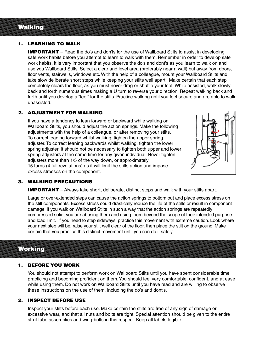# Walking

#### 1. LEARNING TO WALK

**IMPORTANT** – Read the do's and don'ts for the use of Wallboard Stilts to assist in developing safe work habits before you attempt to learn to walk with them. Remember in order to develop safe work habits, it is very important that you observe the do's and dont's as you learn to walk on and use you Wallboard Stilts. Select a clear and level area (preferably near a wall) but away from doors, floor vents, stairwells, windows etc. With the help of a colleague, mount your Wallboard Stilts and take slow deliberate short steps while keeping your stilts well apart. Make certain that each step completely clears the floor, as you must never drag or shuffle your feet. While assisted, walk slowly back and forth numerous times making a U turn to reverse your direction. Repeat walking back and forth until you develop a "feel" for the stilts. Practice walking until you feel secure and are able to walk unassisted.

#### 2. ADJUSTMENT FOR WALKING

 If you have a tendency to lean forward or backward while walking on Wallboard Stilts, you should adjust the action springs. Make the following adjustments with the help of a colleague, or after removing your stilts. To correct leaning forward whilst walking, tighten the upper spring adjuster. To correct leaning backwards whilst walking, tighten the lower spring adjuster. It should not be necessary to tighten both upper and lower spring adjusters at the same time for any given individual. Never tighten adjusters more than 1/5 of the way down, or approximately 15 turns (4 full revolutions) as it will limit the stilts action and impose excess stresses on the component.



#### 3. WALKING PRECAUTIONS

**IMPORTANT** – Always take short, deliberate, distinct steps and walk with your stilts apart.

 Large or over-extended steps can cause the action springs to bottom out and place excess stress on the stilt components. Excess stress could drastically reduce the life of the stilts or result in component damage. If you walk on Wallboard Stilts in such a way that the action springs are repeatedly compressed solid, you are abusing them and using them beyond the scope of their intended purpose and load limit. If you need to step sideways, practice this movement with extreme caution. Look where your next step will be, raise your stilt well clear of the floor, then place the stilt on the ground. Make certain that you practice this distinct movement until you can do it safely.

### Working

#### 1. BEFORE YOU WORK

 You should not attempt to perform work on Wallboard Stilts until you have spent considerable time practicing and becoming proficient on them.You should feel very comfortable, confident, and at ease while using them. Do not work on Wallboard Stilts until you have read and are willing to observe these instructions on the use of them, including the do's and dont's.

#### 2. INSPECT BEFORE USE

 Inspect your stilts before each use. Make certain the stilts are free of any sign of damage or excessive wear, and that all nuts and bolts are tight. Special attention should be given to the entire strut tube assemblies and wing-bolts in this respect. Keep all labels legible.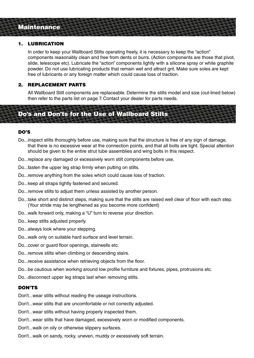## **Maintenance**

#### 1. LUBRICATION

 In order to keep your Wallboard Stilts operating freely, it is necessary to keep the "action" components reasonably clean and free from dents or burrs. (Action components are those that pivot, slide, telescope etc). Lubricate the "action" components lightly with a silicone spray or white graphite powder. Do not use lubricating products that remain wet and attract grit. Make sure soles are kept free of lubricants or any foreign matter which could cause loss of traction.

#### 2. REPLACEMENT PARTS

 All Wallboard Stilt components are replaceable. Determine the stilts model and size (out-lined below) then refer to the parts list on page 7. Contact your dealer for parts needs.

# Do's and Don'ts for the Use of Wallboard Stilts

#### DO'S

- Do...inspect stilts thoroughly before use, making sure that the structure is free of any sign of damage, that there is no excessive wear at the connection points, and that all bolts are tight. Special attention should be given to the entire strut tube assemblies and wing bolts in this respect.
- Do...replace any damaged or excessively worn stilt components before use.
- Do...fasten the upper leg strap firmly when putting on stilts.
- Do...remove anything from the soles which could cause loss of traction.
- Do...keep all straps tightly fastened and secured.
- Do...remove stilts to adjust them unless assisted by another person.
- Do...take short and distinct steps, making sure that the stilts are raised well clear of floor with each step. (Your stride may be lengthened as you become more confident)
- Do...walk forward only, making a "U" turn to reverse your direction.
- Do...keep stilts adjusted properly.
- Do...always look where your stepping.
- Do...walk only on suitable hard surface and level terrain.
- Do...cover or guard floor openings, stairwells etc.
- Do...remove stilts when climbing or descending stairs.
- Do...receive assistance when retrieving objects from the floor.
- Do...be cautious when working around low profile furniture and fixtures, pipes, protrusions etc.
- Do...disconnect upper leg straps last when removing stilts.

#### DON'TS

Don't...wear stilts without reading the useage instructions.

Don't...wear stilts that are uncomfortable or not correctly adjusted.

Don't...wear stilts without having properly inspected them.

Don't...wear stilts that have damaged, excessively worn or modified components.

- Don't...walk on oily or otherwise slippery surfaces.
- Don't...walk on sandy, rocky, uneven, muddy or excessively soft terrain.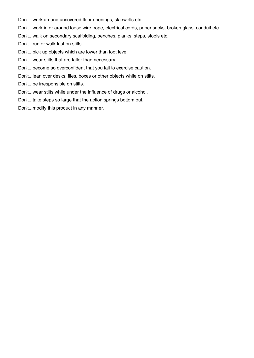Don't...work around uncovered floor openings, stairwells etc.

Don't...work in or around loose wire, rope, electrical cords, paper sacks, broken glass, conduit etc.

Don't...walk on secondary scaffolding, benches, planks, steps, stools etc.

Don't...run or walk fast on stilts.

Don't...pick up objects which are lower than foot level.

Don't...wear stilts that are taller than necessary.

Don't...become so overconfident that you fail to exercise caution.

Don't...lean over desks, files, boxes or other objects while on stilts.

Don't...be irresponsible on stilts.

Don't...wear stilts while under the influence of drugs or alcohol.

Don't...take steps so large that the action springs bottom out.

Don't...modify this product in any manner.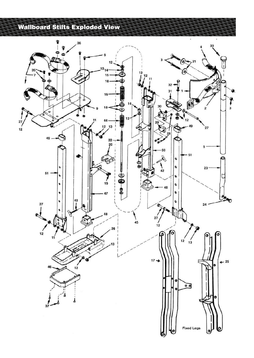# Wallboard Stilts Exploded View

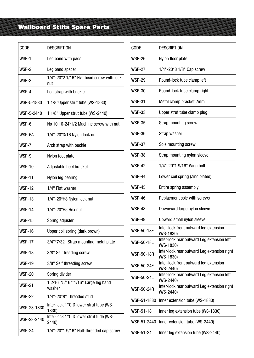# Wallboard Stilts Spare Parts

| <b>CODE</b>   | <b>DESCRIPTION</b>                               |
|---------------|--------------------------------------------------|
| WSP-1         | Leg band with pads                               |
| WSP-2         | Leg band spacer                                  |
| WSP-3         | 1/4"-20*2 1/16" Flat head screw with lock<br>nut |
| WSP-4         | Leg strap with buckle                            |
| WSP-5-1830    | 1 1/8 "Upper strut tube (WS-1830)                |
| WSP-5-2440    | 1 1/8" Upper strut tube (WS-2440)                |
| WSP-6         | No 10 10-24*1/2 Machine screw with nut           |
| WSP-6A        | 1/4"-20*3/16 Nylon lock nut                      |
| WSP-7         | Arch strap with buckle                           |
| WSP-9         | Nylon foot plate                                 |
| <b>WSP-10</b> | Adjustable heel bracket                          |
| <b>WSP-11</b> | Nylon leg bearing                                |
| <b>WSP-12</b> | 1/4" Flat washer                                 |
| <b>WSP-13</b> | 1/4"-20*H8 Nylon lock nut                        |
| <b>WSP-14</b> | 1/4"-20*H5 Hex nut                               |
| <b>WSP-15</b> | Spring adjuster                                  |
| <b>WSP-16</b> | Upper coil spring (dark brown)                   |
| <b>WSP-17</b> | 3/4"*7/32" Strap mounting metal plate            |
| <b>WSP-18</b> | 3/8" Self treading screw                         |
| <b>WSP-19</b> | 3/8" Self threading screw                        |
| <b>WSP-20</b> | Spring divider                                   |
| <b>WSP-21</b> | 1 2/16"*5/16"*1/16" Large leg band<br>washer     |
| <b>WSP-22</b> | 1/4"-20*8" Threaded stud                         |
| WSP-23-1830   | Inter-lock 1"0.D lower strut tube (WS-<br>1830)  |
| WSP-23-2440   | Inter-lock 1"0.D lower strut tude (WS-<br>2440)  |
| <b>WSP-24</b> | 1/4"-20*1 9/16" Half-threaded cap screw          |
|               |                                                  |

| <b>CODE</b>       | <b>DESCRIPTION</b>                                         |
|-------------------|------------------------------------------------------------|
| <b>WSP-26</b>     | Nylon floor plate                                          |
| <b>WSP-27</b>     | 1/4"-20*3 1/8" Cap screw                                   |
| <b>WSP-29</b>     | Round-lock tube clamp left                                 |
| <b>WSP-30</b>     | Round-lock tube clamp right                                |
| <b>WSP-31</b>     | Metal clamp bracket 2mm                                    |
| <b>WSP-33</b>     | Upper strut tube clamp plug                                |
| <b>WSP-35</b>     | Strap mounting screw                                       |
| <b>WSP-36</b>     | Strap washer                                               |
| <b>WSP-37</b>     | Sole mounting screw                                        |
| <b>WSP-38</b>     | Strap mounting nylon sleeve                                |
| <b>WSP-42</b>     | 1/4"-20*1 9/16" Wing bolt                                  |
| <b>WSP-44</b>     | Lower coil spring (Zinc plated)                            |
| <b>WSP-45</b>     | Entire spring assembly                                     |
| <b>WSP-46</b>     | Replacment sole with screws                                |
| <b>WSP-48</b>     | Downward large nylon sleeve                                |
| <b>WSP-49</b>     | Upward small nylon sleeve                                  |
| WSP-50-18F        | Inter-lock front outward leg extension<br>(WS-1830)        |
| <b>WSP-50-18L</b> | Inter-lock rear outward Leg extension left<br>$(WS-1830)$  |
| <b>WSP-50-18R</b> | Inter-lock rear outward Leg extension right<br>(WS-1830)   |
| <b>WSP-50-24F</b> | Inter-lock front outward leg extension<br>(WS-2440)        |
| <b>WSP-50-24L</b> | Inter-lock rear outward Leg extension left<br>(WS-2440)    |
| <b>WSP-50-24R</b> | Inter-lock rear outward Leg extension right<br>$(WS-2440)$ |
| WSP-51-1830       | Inner extension tube (WS-1830)                             |
| WSP-51-18I        | Inner leg extension tube (WS-1830)                         |
| WSP-51-2440       | Inner extension tube (WS-2440)                             |
| WSP-51-24I        | Inner leg extension tube (WS-2440)                         |